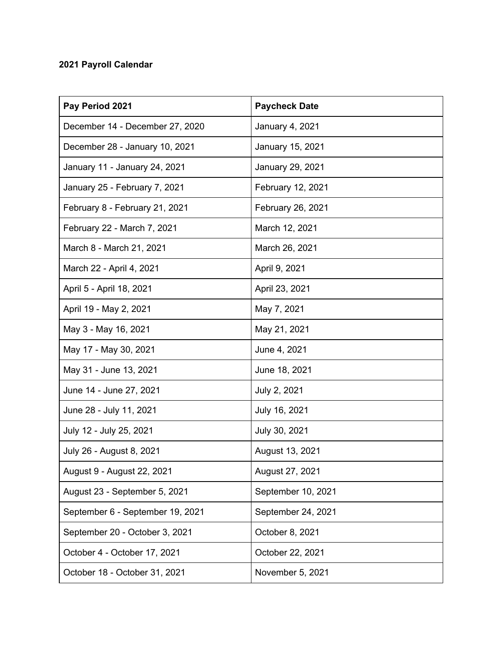## **2021 Payroll Calendar**

| Pay Period 2021                  | <b>Paycheck Date</b> |
|----------------------------------|----------------------|
| December 14 - December 27, 2020  | January 4, 2021      |
| December 28 - January 10, 2021   | January 15, 2021     |
| January 11 - January 24, 2021    | January 29, 2021     |
| January 25 - February 7, 2021    | February 12, 2021    |
| February 8 - February 21, 2021   | February 26, 2021    |
| February 22 - March 7, 2021      | March 12, 2021       |
| March 8 - March 21, 2021         | March 26, 2021       |
| March 22 - April 4, 2021         | April 9, 2021        |
| April 5 - April 18, 2021         | April 23, 2021       |
| April 19 - May 2, 2021           | May 7, 2021          |
| May 3 - May 16, 2021             | May 21, 2021         |
| May 17 - May 30, 2021            | June 4, 2021         |
| May 31 - June 13, 2021           | June 18, 2021        |
| June 14 - June 27, 2021          | July 2, 2021         |
| June 28 - July 11, 2021          | July 16, 2021        |
| July 12 - July 25, 2021          | July 30, 2021        |
| July 26 - August 8, 2021         | August 13, 2021      |
| August 9 - August 22, 2021       | August 27, 2021      |
| August 23 - September 5, 2021    | September 10, 2021   |
| September 6 - September 19, 2021 | September 24, 2021   |
| September 20 - October 3, 2021   | October 8, 2021      |
| October 4 - October 17, 2021     | October 22, 2021     |
| October 18 - October 31, 2021    | November 5, 2021     |